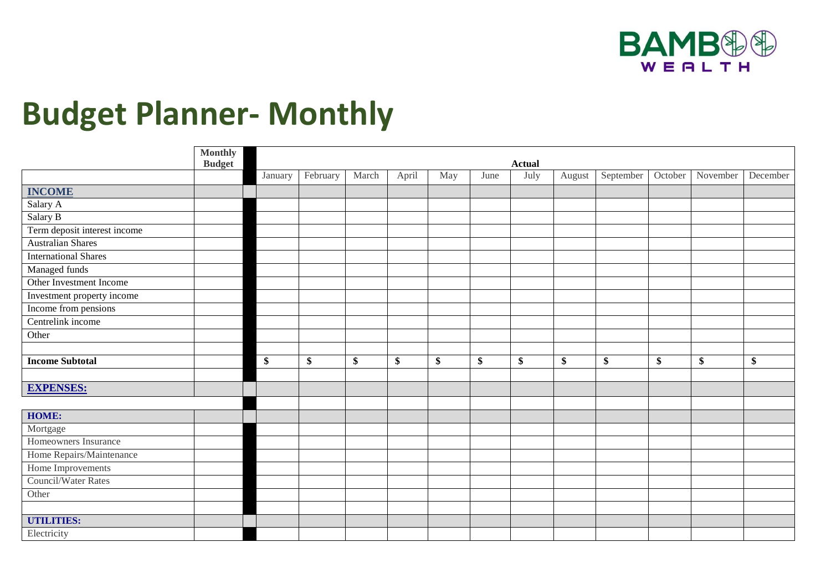

## **Budget Planner- Monthly**

|                              | <b>Monthly</b><br><b>Budget</b> | <b>Actual</b> |          |       |       |     |      |      |        |           |    |                  |          |
|------------------------------|---------------------------------|---------------|----------|-------|-------|-----|------|------|--------|-----------|----|------------------|----------|
|                              |                                 | January       | February | March | April | May | June | July | August | September |    | October November | December |
| <b>INCOME</b>                |                                 |               |          |       |       |     |      |      |        |           |    |                  |          |
| Salary A                     |                                 |               |          |       |       |     |      |      |        |           |    |                  |          |
| Salary B                     |                                 |               |          |       |       |     |      |      |        |           |    |                  |          |
| Term deposit interest income |                                 |               |          |       |       |     |      |      |        |           |    |                  |          |
| <b>Australian Shares</b>     |                                 |               |          |       |       |     |      |      |        |           |    |                  |          |
| <b>International Shares</b>  |                                 |               |          |       |       |     |      |      |        |           |    |                  |          |
| Managed funds                |                                 |               |          |       |       |     |      |      |        |           |    |                  |          |
| Other Investment Income      |                                 |               |          |       |       |     |      |      |        |           |    |                  |          |
| Investment property income   |                                 |               |          |       |       |     |      |      |        |           |    |                  |          |
| Income from pensions         |                                 |               |          |       |       |     |      |      |        |           |    |                  |          |
| Centrelink income            |                                 |               |          |       |       |     |      |      |        |           |    |                  |          |
| Other                        |                                 |               |          |       |       |     |      |      |        |           |    |                  |          |
|                              |                                 |               |          |       |       |     |      |      |        |           |    |                  |          |
| <b>Income Subtotal</b>       |                                 | \$            | \$       | \$    | \$    | \$  | \$   | \$   | \$     | \$        | \$ | \$               | \$       |
|                              |                                 |               |          |       |       |     |      |      |        |           |    |                  |          |
| <b>EXPENSES:</b>             |                                 |               |          |       |       |     |      |      |        |           |    |                  |          |
|                              |                                 |               |          |       |       |     |      |      |        |           |    |                  |          |
| HOME:                        |                                 |               |          |       |       |     |      |      |        |           |    |                  |          |
| Mortgage                     |                                 |               |          |       |       |     |      |      |        |           |    |                  |          |
| Homeowners Insurance         |                                 |               |          |       |       |     |      |      |        |           |    |                  |          |
| Home Repairs/Maintenance     |                                 |               |          |       |       |     |      |      |        |           |    |                  |          |
| Home Improvements            |                                 |               |          |       |       |     |      |      |        |           |    |                  |          |
| <b>Council/Water Rates</b>   |                                 |               |          |       |       |     |      |      |        |           |    |                  |          |
| Other                        |                                 |               |          |       |       |     |      |      |        |           |    |                  |          |
|                              |                                 |               |          |       |       |     |      |      |        |           |    |                  |          |
| <b>UTILITIES:</b>            |                                 |               |          |       |       |     |      |      |        |           |    |                  |          |
| Electricity                  |                                 |               |          |       |       |     |      |      |        |           |    |                  |          |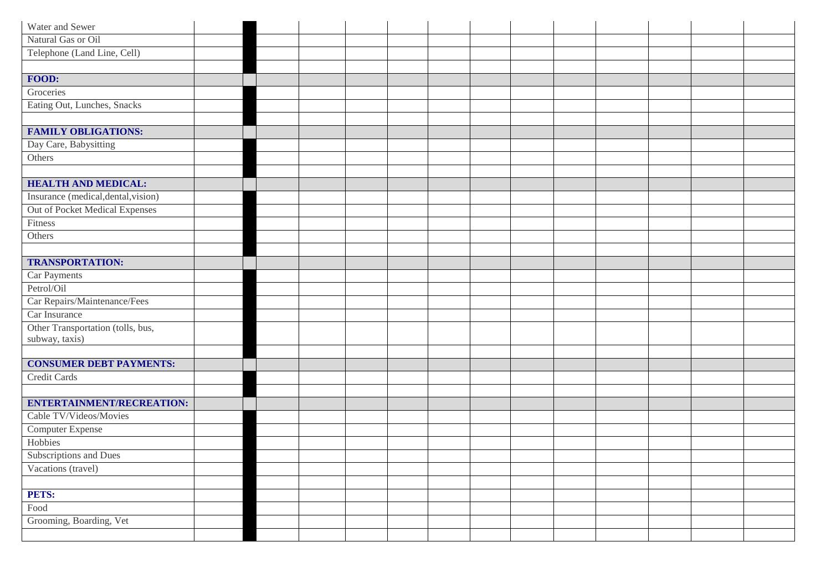| Water and Sewer                     |  |  |  |  |  |  |  |
|-------------------------------------|--|--|--|--|--|--|--|
| Natural Gas or Oil                  |  |  |  |  |  |  |  |
| Telephone (Land Line, Cell)         |  |  |  |  |  |  |  |
|                                     |  |  |  |  |  |  |  |
| FOOD:                               |  |  |  |  |  |  |  |
| Groceries                           |  |  |  |  |  |  |  |
| Eating Out, Lunches, Snacks         |  |  |  |  |  |  |  |
|                                     |  |  |  |  |  |  |  |
| <b>FAMILY OBLIGATIONS:</b>          |  |  |  |  |  |  |  |
| Day Care, Babysitting               |  |  |  |  |  |  |  |
| Others                              |  |  |  |  |  |  |  |
|                                     |  |  |  |  |  |  |  |
| <b>HEALTH AND MEDICAL:</b>          |  |  |  |  |  |  |  |
| Insurance (medical, dental, vision) |  |  |  |  |  |  |  |
| Out of Pocket Medical Expenses      |  |  |  |  |  |  |  |
| Fitness                             |  |  |  |  |  |  |  |
| Others                              |  |  |  |  |  |  |  |
|                                     |  |  |  |  |  |  |  |
| <b>TRANSPORTATION:</b>              |  |  |  |  |  |  |  |
| Car Payments                        |  |  |  |  |  |  |  |
| Petrol/Oil                          |  |  |  |  |  |  |  |
| Car Repairs/Maintenance/Fees        |  |  |  |  |  |  |  |
| Car Insurance                       |  |  |  |  |  |  |  |
| Other Transportation (tolls, bus,   |  |  |  |  |  |  |  |
| subway, taxis)                      |  |  |  |  |  |  |  |
|                                     |  |  |  |  |  |  |  |
| <b>CONSUMER DEBT PAYMENTS:</b>      |  |  |  |  |  |  |  |
| <b>Credit Cards</b>                 |  |  |  |  |  |  |  |
|                                     |  |  |  |  |  |  |  |
| <b>ENTERTAINMENT/RECREATION:</b>    |  |  |  |  |  |  |  |
| Cable TV/Videos/Movies              |  |  |  |  |  |  |  |
| Computer Expense                    |  |  |  |  |  |  |  |
| Hobbies                             |  |  |  |  |  |  |  |
| Subscriptions and Dues              |  |  |  |  |  |  |  |
| Vacations (travel)                  |  |  |  |  |  |  |  |
|                                     |  |  |  |  |  |  |  |
| PETS:                               |  |  |  |  |  |  |  |
| Food                                |  |  |  |  |  |  |  |
| Grooming, Boarding, Vet             |  |  |  |  |  |  |  |
|                                     |  |  |  |  |  |  |  |